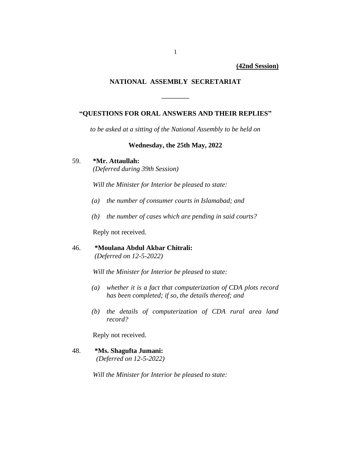**(42nd Session)**

## **NATIONAL ASSEMBLY SECRETARIAT**

## **"QUESTIONS FOR ORAL ANSWERS AND THEIR REPLIES"**

**————**

*to be asked at a sitting of the National Assembly to be held on*

### **Wednesday, the 25th May, 2022**

## 59. **\*Mr. Attaullah:**

*(Deferred during 39th Session)*

*Will the Minister for Interior be pleased to state:*

- *(a) the number of consumer courts in Islamabad; and*
- *(b) the number of cases which are pending in said courts?*

Reply not received.

## 46. **\*Moulana Abdul Akbar Chitrali:** *(Deferred on 12-5-2022)*

*Will the Minister for Interior be pleased to state:*

- *(a) whether it is a fact that computerization of CDA plots record has been completed; if so, the details thereof; and*
- *(b) the details of computerization of CDA rural area land record?*

Reply not received.

48. **\*Ms. Shagufta Jumani:**  *(Deferred on 12-5-2022)*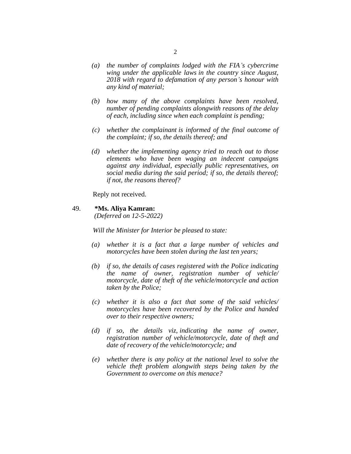- *(a) the number of complaints lodged with the FIA's cybercrime wing under the applicable laws in the country since August, 2018 with regard to defamation of any person's honour with any kind of material;*
- *(b) how many of the above complaints have been resolved, number of pending complaints alongwith reasons of the delay of each, including since when each complaint is pending;*
- *(c) whether the complainant is informed of the final outcome of the complaint; if so, the details thereof; and*
- *(d) whether the implementing agency tried to reach out to those elements who have been waging an indecent campaigns against any individual, especially public representatives, on social media during the said period; if so, the details thereof; if not, the reasons thereof?*

Reply not received.

#### 49. **\*Ms. Aliya Kamran:**

*(Deferred on 12-5-2022)*

- *(a) whether it is a fact that a large number of vehicles and motorcycles have been stolen during the last ten years;*
- *(b) if so, the details of cases registered with the Police indicating the name of owner, registration number of vehicle/ motorcycle, date of theft of the vehicle/motorcycle and action taken by the Police;*
- *(c) whether it is also a fact that some of the said vehicles/ motorcycles have been recovered by the Police and handed over to their respective owners;*
- *(d) if so, the details viz, indicating the name of owner, registration number of vehicle/motorcycle, date of theft and date of recovery of the vehicle/motorcycle; and*
- *(e) whether there is any policy at the national level to solve the vehicle theft problem alongwith steps being taken by the Government to overcome on this menace?*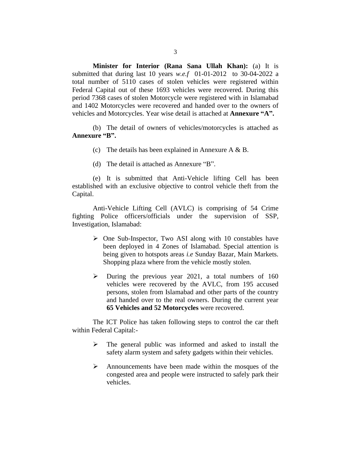**Minister for Interior (Rana Sana Ullah Khan):** (a) It is submitted that during last 10 years *w.e.f* 01-01-2012 to 30-04-2022 a total number of 5110 cases of stolen vehicles were registered within Federal Capital out of these 1693 vehicles were recovered. During this period 7368 cases of stolen Motorcycle were registered with in Islamabad and 1402 Motorcycles were recovered and handed over to the owners of vehicles and Motorcycles. Year wise detail is attached at **Annexure "A".**

(b) The detail of owners of vehicles/motorcycles is attached as **Annexure "B".**

- (c) The details has been explained in Annexure A  $\&$  B.
- (d) The detail is attached as Annexure "B".

(e) It is submitted that Anti-Vehicle lifting Cell has been established with an exclusive objective to control vehicle theft from the Capital.

Anti-Vehicle Lifting Cell (AVLC) is comprising of 54 Crime fighting Police officers/officials under the supervision of SSP, Investigation, Islamabad:

- ➢ One Sub-Inspector, Two ASI along with 10 constables have been deployed in 4 Zones of Islamabad. Special attention is being given to hotspots areas *i.e* Sunday Bazar, Main Markets. Shopping plaza where from the vehicle mostly stolen.
- $\triangleright$  During the previous year 2021, a total numbers of 160 vehicles were recovered by the AVLC, from 195 accused persons, stolen from Islamabad and other parts of the country and handed over to the real owners. During the current year **65 Vehicles and 52 Motorcycles** were recovered.

The ICT Police has taken following steps to control the car theft within Federal Capital:-

- ➢ The general public was informed and asked to install the safety alarm system and safety gadgets within their vehicles.
- ➢ Announcements have been made within the mosques of the congested area and people were instructed to safely park their vehicles.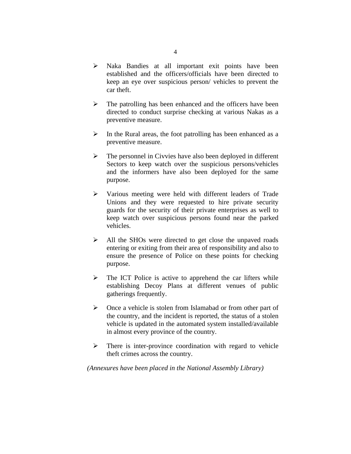- ➢ Naka Bandies at all important exit points have been established and the officers/officials have been directed to keep an eye over suspicious person/ vehicles to prevent the car theft.
- ➢ The patrolling has been enhanced and the officers have been directed to conduct surprise checking at various Nakas as a preventive measure.
- $\triangleright$  In the Rural areas, the foot patrolling has been enhanced as a preventive measure.
- $\triangleright$  The personnel in Civvies have also been deployed in different Sectors to keep watch over the suspicious persons/vehicles and the informers have also been deployed for the same purpose.
- ➢ Various meeting were held with different leaders of Trade Unions and they were requested to hire private security guards for the security of their private enterprises as well to keep watch over suspicious persons found near the parked vehicles.
- ➢ All the SHOs were directed to get close the unpaved roads entering or exiting from their area of responsibility and also to ensure the presence of Police on these points for checking purpose.
- $\triangleright$  The ICT Police is active to apprehend the car lifters while establishing Decoy Plans at different venues of public gatherings frequently.
- ➢ Once a vehicle is stolen from Islamabad or from other part of the country, and the incident is reported, the status of a stolen vehicle is updated in the automated system installed/available in almost every province of the country.
- $\triangleright$  There is inter-province coordination with regard to vehicle theft crimes across the country.

*(Annexures have been placed in the National Assembly Library)*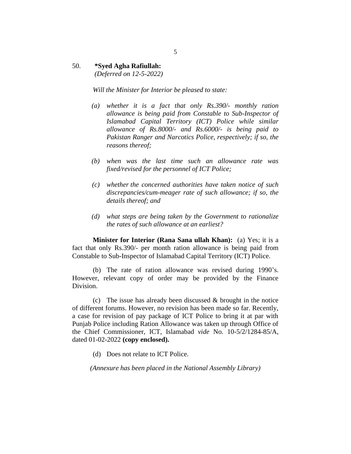## 50. **\*Syed Agha Rafiullah:**

*(Deferred on 12-5-2022)*

*Will the Minister for Interior be pleased to state:*

- *(a) whether it is a fact that only Rs.390/- monthly ration allowance is being paid from Constable to Sub-Inspector of Islamabad Capital Territory (ICT) Police while similar allowance of Rs.8000/- and Rs.6000/- is being paid to Pakistan Ranger and Narcotics Police, respectively; if so, the reasons thereof;*
- *(b) when was the last time such an allowance rate was fixed/revised for the personnel of ICT Police;*
- *(c) whether the concerned authorities have taken notice of such discrepancies/cum-meager rate of such allowance; if so, the details thereof; and*
- *(d) what steps are being taken by the Government to rationalize the rates of such allowance at an earliest?*

**Minister for Interior (Rana Sana ullah Khan):** (a) Yes; it is a fact that only Rs.390/- per month ration allowance is being paid from Constable to Sub-Inspector of Islamabad Capital Territory (ICT) Police.

(b) The rate of ration allowance was revised during 1990's. However, relevant copy of order may be provided by the Finance Division.

(c) The issue has already been discussed  $\&$  brought in the notice of different forums. However, no revision has been made so far. Recently, a case for revision of pay package of ICT Police to bring it at par with Punjab Police including Ration Allowance was taken up through Office of the Chief Commissioner, ICT, Islamabad *vide* No. 10-5/2/1284-85/A, dated 01-02-2022 **(copy enclosed).**

(d) Does not relate to ICT Police.

*(Annexure has been placed in the National Assembly Library)*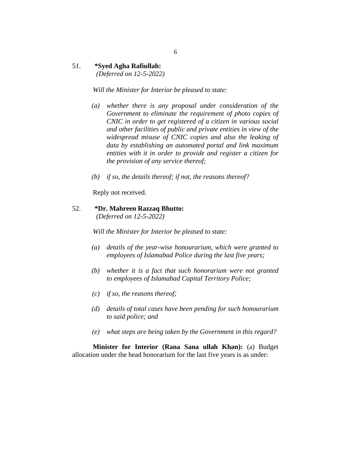## 51. **\*Syed Agha Rafiullah:**

 *(Deferred on 12-5-2022)*

*Will the Minister for Interior be pleased to state:*

- *(a) whether there is any proposal under consideration of the Government to eliminate the requirement of photo copies of CNIC in order to get registered of a citizen in various social and other facilities of public and private entities in view of the widespread misuse of CNIC copies and also the leaking of data by establishing an automated portal and link maximum entities with it in order to provide and register a citizen for the provision of any service thereof;*
- *(b) if so, the details thereof; if not, the reasons thereof?*

Reply not received.

## 52. **\*Dr. Mahreen Razzaq Bhutto:**

*(Deferred on 12-5-2022)*

*Will the Minister for Interior be pleased to state:*

- *(a) details of the year-wise honourarium, which were granted to employees of Islamabad Police during the last five years;*
- *(b) whether it is a fact that such honorarium were not granted to employees of Islamabad Capital Territory Police;*
- *(c) if so, the reasons thereof;*
- *(d) details of total cases have been pending for such honourarium to said police; and*
- *(e) what steps are being taken by the Government in this regard?*

**Minister for Interior (Rana Sana ullah Khan):** (a) Budget allocation under the head honorarium for the last five years is as under: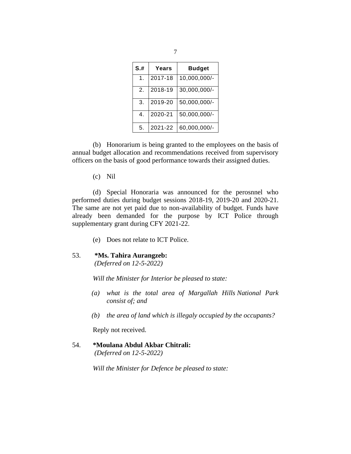| S.H | Years   | <b>Budget</b> |  |
|-----|---------|---------------|--|
| 1.  | 2017-18 | 10,000,000/-  |  |
| 2.  | 2018-19 | 30,000,000/-  |  |
| 3.  | 2019-20 | 50,000,000/-  |  |
| 4.  | 2020-21 | 50,000,000/-  |  |
| 5.  | 2021-22 | 60,000,000/-  |  |

(b) Honorarium is being granted to the employees on the basis of annual budget allocation and recommendations received from supervisory officers on the basis of good performance towards their assigned duties.

(c) Nil

(d) Special Honoraria was announced for the perosnnel who performed duties during budget sessions 2018-19, 2019-20 and 2020-21. The same are not yet paid due to non-availability of budget. Funds have already been demanded for the purpose by ICT Police through supplementary grant during CFY 2021-22.

- (e) Does not relate to ICT Police.
- 53. **\*Ms. Tahira Aurangzeb:**

*(Deferred on 12-5-2022)*

*Will the Minister for Interior be pleased to state:*

- *(a) what is the total area of Margallah Hills National Park consist of; and*
- *(b) the area of land which is illegaly occupied by the occupants?*

Reply not received.

54. **\*Moulana Abdul Akbar Chitrali:** *(Deferred on 12-5-2022)*

*Will the Minister for Defence be pleased to state:*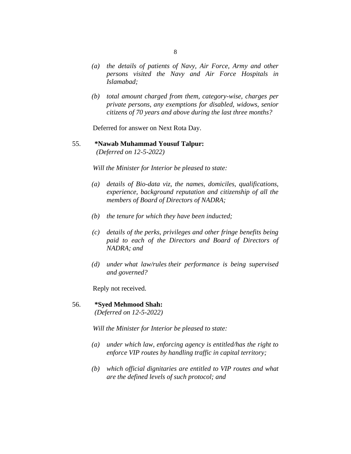- *(a) the details of patients of Navy, Air Force, Army and other persons visited the Navy and Air Force Hospitals in Islamabad;*
- *(b) total amount charged from them, category-wise, charges per private persons, any exemptions for disabled, widows, senior citizens of 70 years and above during the last three months?*

Deferred for answer on Next Rota Day.

55. **\*Nawab Muhammad Yousuf Talpur:**  *(Deferred on 12-5-2022)*

*Will the Minister for Interior be pleased to state:*

- *(a) details of Bio-data viz, the names, domiciles, qualifications, experience, background reputation and citizenship of all the members of Board of Directors of NADRA;*
- *(b) the tenure for which they have been inducted;*
- *(c) details of the perks, privileges and other fringe benefits being paid to each of the Directors and Board of Directors of NADRA; and*
- *(d) under what law/rules their performance is being supervised and governed?*

Reply not received.

#### 56. **\*Syed Mehmood Shah:**

*(Deferred on 12-5-2022)*

- *(a) under which law, enforcing agency is entitled/has the right to enforce VIP routes by handling traffic in capital territory;*
- *(b) which official dignitaries are entitled to VIP routes and what are the defined levels of such protocol; and*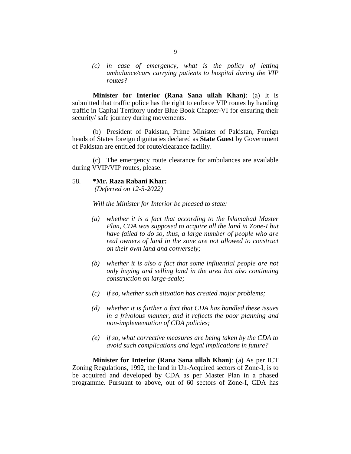*(c) in case of emergency, what is the policy of letting ambulance/cars carrying patients to hospital during the VIP routes?*

**Minister for Interior (Rana Sana ullah Khan)**: (a) It is submitted that traffic police has the right to enforce VIP routes hy handing traffic in Capital Territory under Blue Book Chapter-VI for ensuring their security/ safe journey during movements.

(b) President of Pakistan, Prime Minister of Pakistan, Foreign heads of States foreign dignitaries declared as **State Guest** by Government of Pakistan are entitled for route/clearance facility.

(c) The emergency route clearance for ambulances are available during VVIP/VIP routes, please.

#### 58. **\*Mr. Raza Rabani Khar:**

*(Deferred on 12-5-2022)*

*Will the Minister for Interior be pleased to state:*

- *(a) whether it is a fact that according to the Islamabad Master Plan, CDA was supposed to acquire all the land in Zone-I but have failed to do so, thus, a large number of people who are real owners of land in the zone are not allowed to construct on their own land and conversely;*
- *(b) whether it is also a fact that some influential people are not only buying and selling land in the area but also continuing construction on large-scale;*
- *(c) if so, whether such situation has created major problems;*
- *(d) whether it is further a fact that CDA has handled these issues in a frivolous manner, and it reflects the poor planning and non-implementation of CDA policies;*
- *(e) if so, what corrective measures are being taken by the CDA to avoid such complications and legal implications in future?*

**Minister for Interior (Rana Sana ullah Khan)**: (a) As per ICT Zoning Regulations, 1992, the land in Un-Acquired sectors of Zone-I, is to be acquired and developed by CDA as per Master Plan in a phased programme. Pursuant to above, out of 60 sectors of Zone-I, CDA has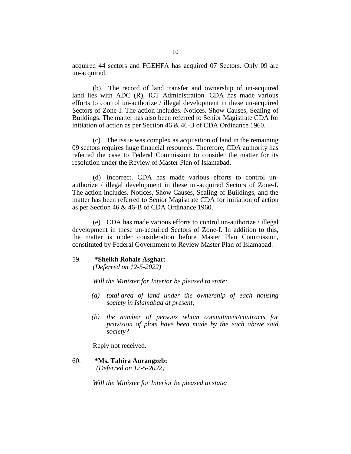acquired 44 sectors and FGEHFA has acquired 07 Sectors. Only 09 are un-acquired.

(b) The record of land transfer and ownership of un-acquired land lies with ADC (R), ICT Administration. CDA has made various efforts to control un-authorize / illegal development in these un-acquired Sectors of Zone-I. The action includes. Notices. Show Causes, Sealing of Buildings. The matter has also been referred to Senior Magistrate CDA for initiation of action as per Section 46 & 46-B of CDA Ordinance 1960.

(c) The issue was complex as acquisition of land in the remaining 09 sectors requires huge financial resources. Therefore, CDA authority has referred the case to Federal Commission to consider the matter for its resolution under the Review of Master Plan of Islamabad.

(d) Incorrect. CDA has made various efforts to control unauthorize / illegal development in these un-acquired Sectors of Zone-I. The action includes. Notices, Show Causes, Sealing of Buildings, and the matter has been referred to Senior Magistrate CDA for initiation of action as per Section 46 & 46-B of CDA Ordinance 1960.

(e) CDA has made various efforts to control un-authorize / illegal development in these un-acquired Sectors of Zone-I. In addition to this, the matter is under consideration before Master Plan Commission, constituted by Federal Government to Review Master Plan of Islamabad.

#### 59. **\*Sheikh Rohale Asghar:**

*(Deferred on 12-5-2022)*

*Will the Minister for Interior be pleased to state:*

- *(a) total area of land under the ownership of each housing society in Islamabad at present;*
- *(b) the number of persons whom commitment/contracts for provision of plots have been made by the each above said society?*

Reply not received.

60. **\*Ms. Tahira Aurangzeb:**

 *(Deferred on 12-5-2022)*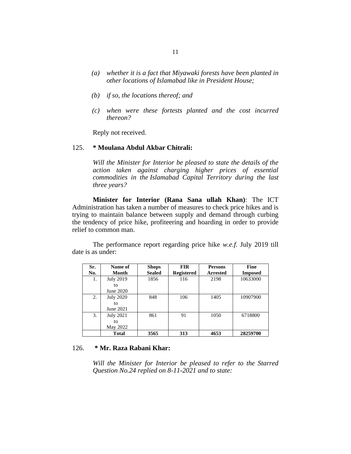- *(a) whether it is a fact that Miyawaki forests have been planted in other locations of Islamabad like in President House;*
- *(b) if so, the locations thereof; and*
- *(c) when were these fortests planted and the cost incurred thereon?*

Reply not received.

#### 125. **\* Moulana Abdul Akbar Chitrali:**

*Will the Minister for Interior be pleased to state the details of the action taken against charging higher prices of essential commodities in the Islamabad Capital Territory during the last three years?*

**Minister for Interior (Rana Sana ullah Khan)**: The ICT Administration has taken a number of measures to check price hikes and is trying to maintain balance between supply and demand through curbing the tendency of price hike, profiteering and hoarding in order to provide relief to common man.

The performance report regarding price hike *w.e.f.* July 2019 till date is as under:

| Sr. | Name of          | <b>Shops</b>  | <b>FIR</b>        | <b>Persons</b>  | <b>Fine</b>    |
|-----|------------------|---------------|-------------------|-----------------|----------------|
| No. | Month            | <b>Sealed</b> | <b>Registered</b> | <b>Arrested</b> | <b>Imposed</b> |
| 1.  | <b>July 2019</b> | 1856          | 116               | 2198            | 10633000       |
|     | tο               |               |                   |                 |                |
|     | June 2020        |               |                   |                 |                |
| 2.  | <b>July 2020</b> | 848           | 106               | 1405            | 10907900       |
|     | tο               |               |                   |                 |                |
|     | June 2021        |               |                   |                 |                |
| 3.  | <b>July 2021</b> | 861           | 91                | 1050            | 6718800        |
|     | to               |               |                   |                 |                |
|     | May 2022         |               |                   |                 |                |
|     | <b>Total</b>     | 3565          | 313               | 4653            | 28259700       |

### 126. **\* Mr. Raza Rabani Khar:**

*Will the Minister for Interior be pleased to refer to the Starred Question No.24 replied on 8-11-2021 and to state:*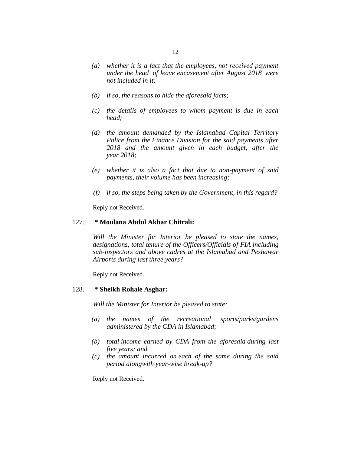- *(a) whether it is a fact that the employees, not received payment under the head of leave encasement after August 2018 were not included in it;*
- *(b) if so, the reasons to hide the aforesaid facts;*
- *(c) the details of employees to whom payment is due in each head;*
- *(d) the amount demanded by the Islamabad Capital Territory Police from the Finance Division for the said payments after 2018 and the amount given in each budget, after the year 2018;*
- *(e) whether it is also a fact that due to non-payment of said payments, their volume has been increasing;*
- *(f) if so, the steps being taken by the Government, in this regard?*

Reply not Received.

#### 127. **\* Moulana Abdul Akbar Chitrali:**

*Will the Minister for Interior be pleased to state the names, designations, total tenure of the Officers/Officials of FIA including sub-inspectors and above cadres at the Islamabad and Peshawar Airports during last three years?*

Reply not Received.

#### 128. **\* Sheikh Rohale Asghar:**

*Will the Minister for Interior be pleased to state:*

- *(a) the names of the recreational sports/parks/gardens administered by the CDA in Islamabad;*
- *(b) total income earned by CDA from the aforesaid during last five years; and*
- *(c) the amount incurred on each of the same during the said period alongwith year-wise break-up?*

Reply not Received.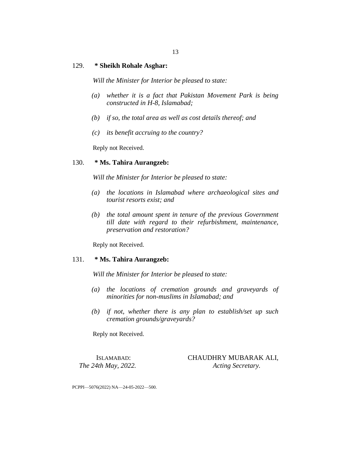#### 129. **\* Sheikh Rohale Asghar:**

*Will the Minister for Interior be pleased to state:*

- *(a) whether it is a fact that Pakistan Movement Park is being constructed in H-8, Islamabad;*
- *(b) if so, the total area as well as cost details thereof; and*
- *(c) its benefit accruing to the country?*

Reply not Received.

#### 130. **\* Ms. Tahira Aurangzeb:**

*Will the Minister for Interior be pleased to state:*

- *(a) the locations in Islamabad where archaeological sites and tourist resorts exist; and*
- *(b) the total amount spent in tenure of the previous Government till date with regard to their refurbishment, maintenance, preservation and restoration?*

Reply not Received.

#### 131. **\* Ms. Tahira Aurangzeb:**

*Will the Minister for Interior be pleased to state:*

- *(a) the locations of cremation grounds and graveyards of minorities for non-muslims in Islamabad; and*
- *(b) if not, whether there is any plan to establish/set up such cremation grounds/graveyards?*

Reply not Received.

ISLAMABAD: CHAUDHRY MUBARAK ALI, *The 24th May, 2022. Acting Secretary.*

PCPPI—5076(2022) NA—24-05-2022—500.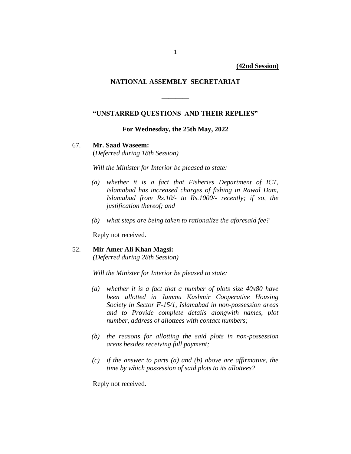**(42nd Session)**

## **NATIONAL ASSEMBLY SECRETARIAT**

## **"UNSTARRED QUESTIONS AND THEIR REPLIES"**

**————**

**For Wednesday, the 25th May, 2022**

#### 67. **Mr. Saad Waseem:**

(*Deferred during 18th Session)*

*Will the Minister for Interior be pleased to state:*

- *(a) whether it is a fact that Fisheries Department of ICT, Islamabad has increased charges of fishing in Rawal Dam, Islamabad from Rs.10/- to Rs.1000/- recently; if so, the justification thereof; and*
- *(b) what steps are being taken to rationalize the aforesaid fee?*

Reply not received.

## 52. **Mir Amer Ali Khan Magsi:**

*(Deferred during 28th Session)*

*Will the Minister for Interior be pleased to state:*

- *(a) whether it is a fact that a number of plots size 40x80 have been allotted in Jammu Kashmir Cooperative Housing Society in Sector F-15/1, Islamabad in non-possession areas and to Provide complete details alongwith names, plot number, address of allottees with contact numbers;*
- *(b) the reasons for allotting the said plots in non-possession areas besides receiving full payment;*
- *(c) if the answer to parts (a) and (b) above are affirmative, the time by which possession of said plots to its allottees?*

Reply not received.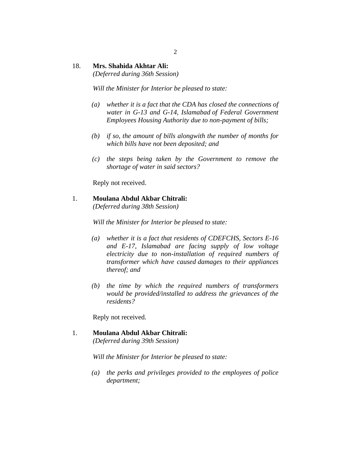## 18. **Mrs. Shahida Akhtar Ali:**

*(Deferred during 36th Session)*

*Will the Minister for Interior be pleased to state:*

- *(a) whether it is a fact that the CDA has closed the connections of water in G-13 and G-14, Islamabad of Federal Government Employees Housing Authority due to non-payment of bills;*
- *(b) if so, the amount of bills alongwith the number of months for which bills have not been deposited; and*
- *(c) the steps being taken by the Government to remove the shortage of water in said sectors?*

Reply not received.

## 1. **Moulana Abdul Akbar Chitrali:**

*(Deferred during 38th Session)*

*Will the Minister for Interior be pleased to state:*

- *(a) whether it is a fact that residents of CDEFCHS, Sectors E-16 and E-17, Islamabad are facing supply of low voltage electricity due to non-installation of required numbers of transformer which have caused damages to their appliances thereof; and*
- *(b) the time by which the required numbers of transformers would be provided/installed to address the grievances of the residents?*

Reply not received.

# 1. **Moulana Abdul Akbar Chitrali:**

*(Deferred during 39th Session)*

*Will the Minister for Interior be pleased to state:*

*(a) the perks and privileges provided to the employees of police department;*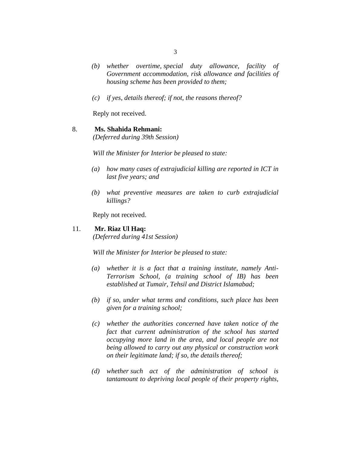- *(b) whether overtime, special duty allowance, facility of Government accommodation, risk allowance and facilities of housing scheme has been provided to them;*
- *(c) if yes, details thereof; if not, the reasons thereof?*

Reply not received.

## 8. **Ms. Shahida Rehmani:**

*(Deferred during 39th Session)*

*Will the Minister for Interior be pleased to state:*

- *(a) how many cases of extrajudicial killing are reported in ICT in last five years; and*
- *(b) what preventive measures are taken to curb extrajudicial killings?*

Reply not received.

#### 11. **Mr. Riaz Ul Haq:**

*(Deferred during 41st Session)*

- *(a) whether it is a fact that a training institute, namely Anti-Terrorism School, (a training school of IB) has been established at Tumair, Tehsil and District Islamabad;*
- *(b) if so, under what terms and conditions, such place has been given for a training school;*
- *(c) whether the authorities concerned have taken notice of the fact that current administration of the school has started occupying more land in the area, and local people are not being allowed to carry out any physical or construction work on their legitimate land; if so, the details thereof;*
- *(d) whether such act of the administration of school is tantamount to depriving local people of their property rights,*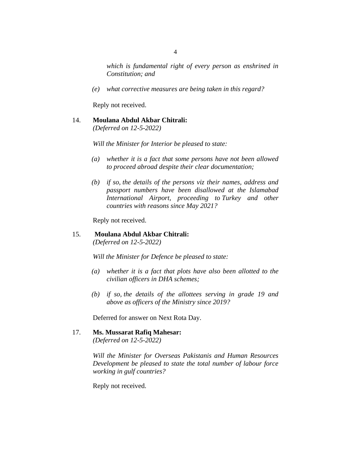*which is fundamental right of every person as enshrined in Constitution; and*

*(e) what corrective measures are being taken in this regard?*

Reply not received.

## 14. **Moulana Abdul Akbar Chitrali:**

*(Deferred on 12-5-2022)*

*Will the Minister for Interior be pleased to state:*

- *(a) whether it is a fact that some persons have not been allowed to proceed abroad despite their clear documentation;*
- *(b) if so, the details of the persons viz their names, address and passport numbers have been disallowed at the Islamabad International Airport, proceeding to Turkey and other countries with reasons since May 2021?*

Reply not received.

## 15. **Moulana Abdul Akbar Chitrali:** *(Deferred on 12-5-2022)*

*Will the Minister for Defence be pleased to state:*

- *(a) whether it is a fact that plots have also been allotted to the civilian officers in DHA schemes;*
- *(b) if so, the details of the allottees serving in grade 19 and above as officers of the Ministry since 2019?*

Deferred for answer on Next Rota Day.

## 17. **Ms. Mussarat Rafiq Mahesar:**

*(Deferred on 12-5-2022)*

*Will the Minister for Overseas Pakistanis and Human Resources Development be pleased to state the total number of labour force working in gulf countries?*

Reply not received.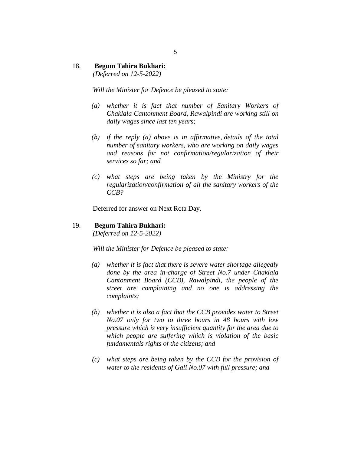## 18. **Begum Tahira Bukhari:**

*(Deferred on 12-5-2022)*

*Will the Minister for Defence be pleased to state:*

- *(a) whether it is fact that number of Sanitary Workers of Chaklala Cantonment Board, Rawalpindi are working still on daily wages since last ten years;*
- *(b) if the reply (a) above is in affirmative, details of the total number of sanitary workers, who are working on daily wages and reasons for not confirmation/regularization of their services so far; and*
- *(c) what steps are being taken by the Ministry for the regularization/confirmation of all the sanitary workers of the CCB?*

Deferred for answer on Next Rota Day.

19. **Begum Tahira Bukhari:** *(Deferred on 12-5-2022)*

*Will the Minister for Defence be pleased to state:*

- *(a) whether it is fact that there is severe water shortage allegedly done by the area in-charge of Street No.7 under Chaklala Cantonment Board (CCB), Rawalpindi, the people of the street are complaining and no one is addressing the complaints;*
- *(b) whether it is also a fact that the CCB provides water to Street No.07 only for two to three hours in 48 hours with low pressure which is very insufficient quantity for the area due to which people are suffering which is violation of the basic fundamentals rights of the citizens; and*
- *(c) what steps are being taken by the CCB for the provision of water to the residents of Gali No.07 with full pressure; and*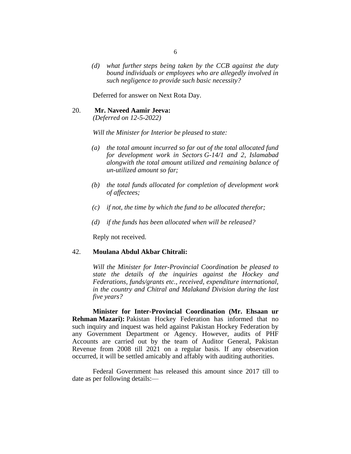*(d) what further steps being taken by the CCB against the duty bound individuals or employees who are allegedly involved in such negligence to provide such basic necessity?*

Deferred for answer on Next Rota Day.

#### 20. **Mr. Naveed Aamir Jeeva:**

*(Deferred on 12-5-2022)*

*Will the Minister for Interior be pleased to state:*

- *(a) the total amount incurred so far out of the total allocated fund for development work in Sectors G-14/1 and 2, Islamabad alongwith the total amount utilized and remaining balance of un-utilized amount so far;*
- *(b) the total funds allocated for completion of development work of affectees;*
- *(c) if not, the time by which the fund to be allocated therefor;*
- *(d) if the funds has been allocated when will be released?*

Reply not received.

#### 42. **Moulana Abdul Akbar Chitrali:**

*Will the Minister for Inter-Provincial Coordination be pleased to state the details of the inquiries against the Hockey and Federations, funds/grants etc., received, expenditure international, in the country and Chitral and Malakand Division during the last five years?*

**Minister for Inter-Provincial Coordination (Mr. Ehsaan ur Rehman Mazari):** Pakistan Hockey Federation has informed that no such inquiry and inquest was held against Pakistan Hockey Federation by any Government Department or Agency. However, audits of PHF Accounts are carried out by the team of Auditor General, Pakistan Revenue from 2008 till 2021 on a regular basis. If any observation occurred, it will be settled amicably and affably with auditing authorities.

Federal Government has released this amount since 2017 till to date as per following details:—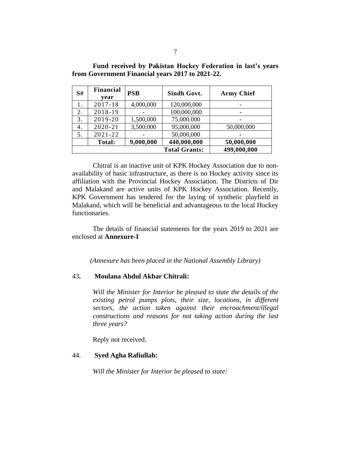| S# | <b>Financial</b><br>year | <b>PSB</b> | Sindh Govt.          | <b>Army Chief</b> |
|----|--------------------------|------------|----------------------|-------------------|
|    | $2017 - 18$              | 4,000,000  | 120,000,000          |                   |
| 2. | 2018-19                  |            | 100,000,000          | -                 |
| 3. | 2019-20                  | 1,500,000  | 75.000.000           |                   |
| 4. | $2020 - 21$              | 3,500;000  | 95,000,000           | 50,000,000        |
| 5. | $2021 - 22$              |            | 50,000,000           |                   |
|    | Total:                   | 9,000,000  | 440,000,000          | 50,000,000        |
|    |                          |            | <b>Total Grants:</b> | 499,000,000       |

**Fund received by Pakistan Hockey Federation in last's years from Government Financial years 2017 to 2021-22.**

Chitral is an inactive unit of KPK Hockey Association due to nonavailability of basic infrastructure, as there is no Hockey activity since its affiliation with the Provincial Hockey Association. The Districts of Dir and Malakand are active units of KPK Hockey Association. Recently, KPK Government has tendered for the laying of synthetic playfield in Malakand, which will be beneficial and advantageous to the local Hockey functionaries.

The details of financial statements for the years 2019 to 2021 are enclosed at **Annexure-I**

*(Annexure has been placed in the National Assembly Library)*

## 43**. Moulana Abdul Akbar Chitrali:**

*Will the Minister for Interior be pleased to state the details of the existing petrol pumps plots, their size, locations, in different sectors, the action taken against their encroachment/illegal constructions and reasons for not taking action during the last three years?*

Reply not received.

### 44. **Syed Agha Rafiullah:**